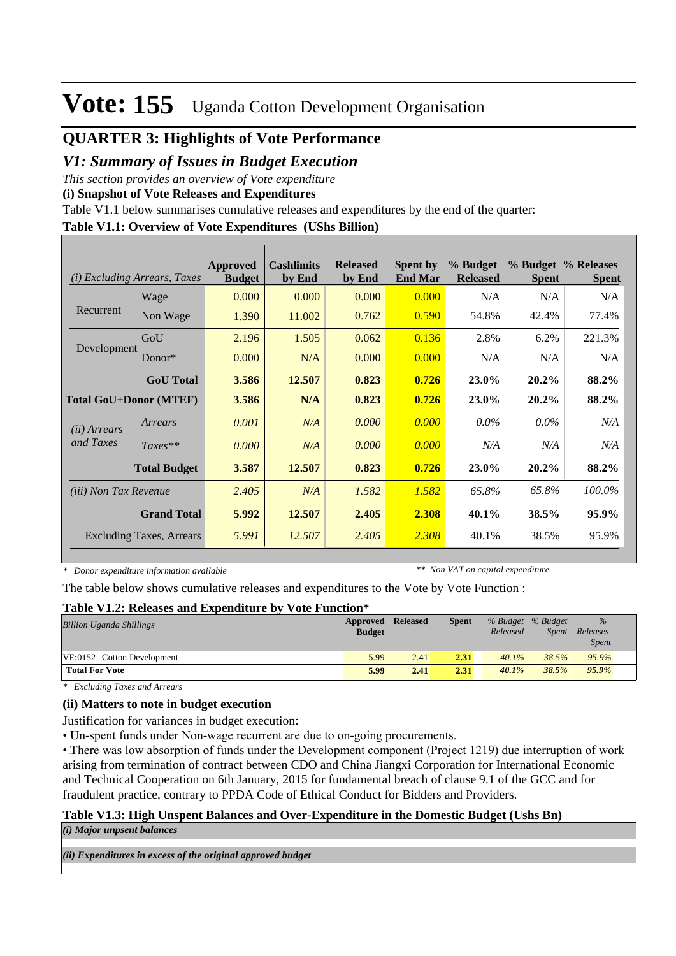## **QUARTER 3: Highlights of Vote Performance**

### *V1: Summary of Issues in Budget Execution*

*This section provides an overview of Vote expenditure* 

**(i) Snapshot of Vote Releases and Expenditures**

Table V1.1 below summarises cumulative releases and expenditures by the end of the quarter:

### **Table V1.1: Overview of Vote Expenditures (UShs Billion)**

| (i)                           | <i>Excluding Arrears, Taxes</i> | <b>Approved</b><br><b>Budget</b> | <b>Cashlimits</b><br>by End | <b>Released</b><br>by End | <b>Spent by</b><br><b>End Mar</b> | % Budget<br><b>Released</b> | <b>Spent</b> | % Budget % Releases<br><b>Spent</b> |
|-------------------------------|---------------------------------|----------------------------------|-----------------------------|---------------------------|-----------------------------------|-----------------------------|--------------|-------------------------------------|
|                               | Wage                            | 0.000                            | 0.000                       | 0.000                     | 0.000                             | N/A                         | N/A          | N/A                                 |
| Recurrent                     | Non Wage                        | 1.390                            | 11.002                      | 0.762                     | 0.590                             | 54.8%                       | 42.4%        | 77.4%                               |
|                               | GoU                             | 2.196                            | 1.505                       | 0.062                     | 0.136                             | 2.8%                        | 6.2%         | 221.3%                              |
| Development                   | $Donor*$                        | 0.000                            | N/A                         | 0.000                     | 0.000                             | N/A                         | N/A          | N/A                                 |
|                               | <b>GoU</b> Total                | 3.586                            | 12.507                      | 0.823                     | 0.726                             | 23.0%                       | 20.2%        | 88.2%                               |
| <b>Total GoU+Donor (MTEF)</b> |                                 | 3.586                            | N/A                         | 0.823                     | 0.726                             | 23.0%                       | 20.2%        | 88.2%                               |
| ( <i>ii</i> ) Arrears         | Arrears                         | 0.001                            | N/A                         | 0.000                     | 0.000                             | $0.0\%$                     | $0.0\%$      | N/A                                 |
| and Taxes                     | $Taxes**$                       | 0.000                            | N/A                         | 0.000                     | 0.000                             | N/A                         | N/A          | N/A                                 |
|                               | <b>Total Budget</b>             | 3.587                            | 12.507                      | 0.823                     | 0.726                             | 23.0%                       | $20.2\%$     | 88.2%                               |
| <i>(iii)</i> Non Tax Revenue  |                                 | 2.405                            | N/A                         | 1.582                     | 1.582                             | 65.8%                       | 65.8%        | 100.0%                              |
|                               | <b>Grand Total</b>              | 5.992                            | 12.507                      | 2.405                     | 2.308                             | 40.1%                       | 38.5%        | 95.9%                               |
|                               | <b>Excluding Taxes, Arrears</b> | 5.991                            | 12.507                      | 2.405                     | 2.308                             | 40.1%                       | 38.5%        | 95.9%                               |

*\* Donor expenditure information available*

*\*\* Non VAT on capital expenditure*

The table below shows cumulative releases and expenditures to the Vote by Vote Function :

#### **Table V1.2: Releases and Expenditure by Vote Function\***

| <b>Billion Uganda Shillings</b> | <b>Approved Released</b><br><b>Budget</b> |      | <b>Spent</b> | Released | % Budget % Budget<br><i>Spent</i> | $\%$<br>Releases<br><b>Spent</b> |  |
|---------------------------------|-------------------------------------------|------|--------------|----------|-----------------------------------|----------------------------------|--|
| VF:0152 Cotton Development      | 5.99                                      | 2.41 | 2.31         | $40.1\%$ | 38.5%                             | 95.9%                            |  |
| <b>Total For Vote</b>           | 5.99                                      | 2.41 | 2.31         | $40.1\%$ | 38.5%                             | $95.9\%$                         |  |

*\* Excluding Taxes and Arrears*

### **(ii) Matters to note in budget execution**

Justification for variances in budget execution:

• Un-spent funds under Non-wage recurrent are due to on-going procurements.

• There was low absorption of funds under the Development component (Project 1219) due interruption of work arising from termination of contract between CDO and China Jiangxi Corporation for International Economic and Technical Cooperation on 6th January, 2015 for fundamental breach of clause 9.1 of the GCC and for fraudulent practice, contrary to PPDA Code of Ethical Conduct for Bidders and Providers.

### **Table V1.3: High Unspent Balances and Over-Expenditure in the Domestic Budget (Ushs Bn)**

*(i) Major unpsent balances*

*(ii) Expenditures in excess of the original approved budget*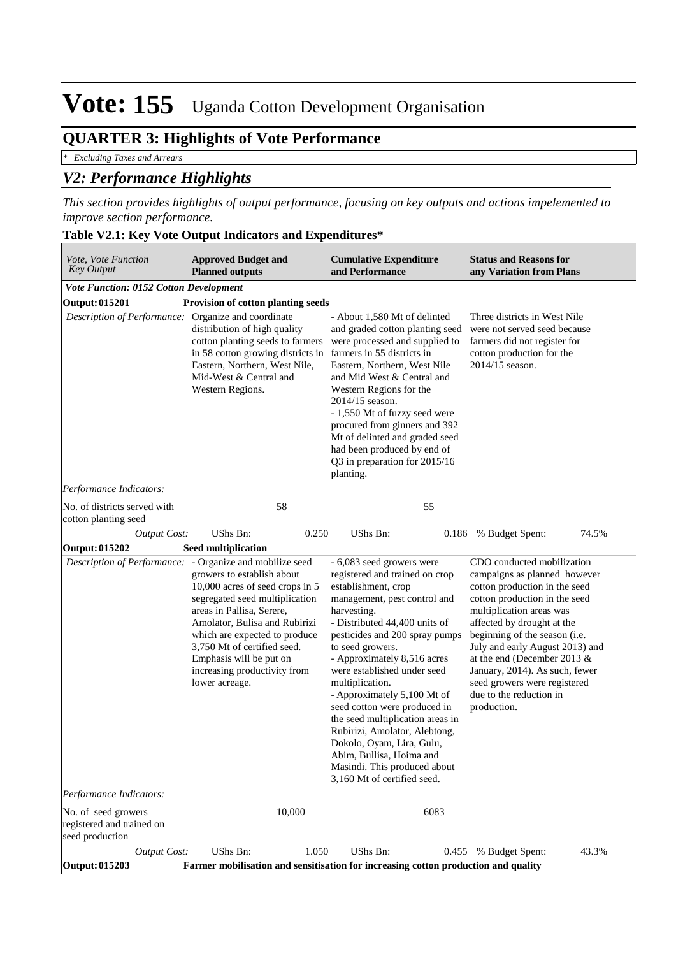## **QUARTER 3: Highlights of Vote Performance**

*\* Excluding Taxes and Arrears*

## *V2: Performance Highlights*

*This section provides highlights of output performance, focusing on key outputs and actions impelemented to improve section performance.*

| Vote, Vote Function<br><b>Key Output</b>                                                                                                                                                                                                                                                                                                                                                             | <b>Approved Budget and</b><br><b>Planned outputs</b>                                                                                                                                                                                                                   |                                                                                                                                                                                                                                                                                                                                                                                                                                                                                                                                                                       | <b>Cumulative Expenditure</b><br>and Performance                                                                                                                                                                                                                                                                                                                                                 |                                                                                                                                                                                                                                                                                                                                                                                                       | <b>Status and Reasons for</b><br>any Variation from Plans                                                                                    |       |  |
|------------------------------------------------------------------------------------------------------------------------------------------------------------------------------------------------------------------------------------------------------------------------------------------------------------------------------------------------------------------------------------------------------|------------------------------------------------------------------------------------------------------------------------------------------------------------------------------------------------------------------------------------------------------------------------|-----------------------------------------------------------------------------------------------------------------------------------------------------------------------------------------------------------------------------------------------------------------------------------------------------------------------------------------------------------------------------------------------------------------------------------------------------------------------------------------------------------------------------------------------------------------------|--------------------------------------------------------------------------------------------------------------------------------------------------------------------------------------------------------------------------------------------------------------------------------------------------------------------------------------------------------------------------------------------------|-------------------------------------------------------------------------------------------------------------------------------------------------------------------------------------------------------------------------------------------------------------------------------------------------------------------------------------------------------------------------------------------------------|----------------------------------------------------------------------------------------------------------------------------------------------|-------|--|
| Vote Function: 0152 Cotton Development                                                                                                                                                                                                                                                                                                                                                               |                                                                                                                                                                                                                                                                        |                                                                                                                                                                                                                                                                                                                                                                                                                                                                                                                                                                       |                                                                                                                                                                                                                                                                                                                                                                                                  |                                                                                                                                                                                                                                                                                                                                                                                                       |                                                                                                                                              |       |  |
| <b>Output: 015201</b>                                                                                                                                                                                                                                                                                                                                                                                | Provision of cotton planting seeds                                                                                                                                                                                                                                     |                                                                                                                                                                                                                                                                                                                                                                                                                                                                                                                                                                       |                                                                                                                                                                                                                                                                                                                                                                                                  |                                                                                                                                                                                                                                                                                                                                                                                                       |                                                                                                                                              |       |  |
|                                                                                                                                                                                                                                                                                                                                                                                                      | Description of Performance: Organize and coordinate<br>distribution of high quality<br>cotton planting seeds to farmers<br>in 58 cotton growing districts in farmers in 55 districts in<br>Eastern, Northern, West Nile,<br>Mid-West & Central and<br>Western Regions. |                                                                                                                                                                                                                                                                                                                                                                                                                                                                                                                                                                       | - About 1,580 Mt of delinted<br>and graded cotton planting seed<br>were processed and supplied to<br>Eastern, Northern, West Nile<br>and Mid West & Central and<br>Western Regions for the<br>$2014/15$ season.<br>- 1,550 Mt of fuzzy seed were<br>procured from ginners and 392<br>Mt of delinted and graded seed<br>had been produced by end of<br>Q3 in preparation for 2015/16<br>planting. |                                                                                                                                                                                                                                                                                                                                                                                                       | Three districts in West Nile<br>were not served seed because<br>farmers did not register for<br>cotton production for the<br>2014/15 season. |       |  |
| Performance Indicators:                                                                                                                                                                                                                                                                                                                                                                              |                                                                                                                                                                                                                                                                        |                                                                                                                                                                                                                                                                                                                                                                                                                                                                                                                                                                       |                                                                                                                                                                                                                                                                                                                                                                                                  |                                                                                                                                                                                                                                                                                                                                                                                                       |                                                                                                                                              |       |  |
| No. of districts served with<br>cotton planting seed                                                                                                                                                                                                                                                                                                                                                 | 58                                                                                                                                                                                                                                                                     |                                                                                                                                                                                                                                                                                                                                                                                                                                                                                                                                                                       | 55                                                                                                                                                                                                                                                                                                                                                                                               |                                                                                                                                                                                                                                                                                                                                                                                                       |                                                                                                                                              |       |  |
| <b>Output Cost:</b>                                                                                                                                                                                                                                                                                                                                                                                  | UShs Bn:                                                                                                                                                                                                                                                               | 0.250                                                                                                                                                                                                                                                                                                                                                                                                                                                                                                                                                                 | UShs Bn:                                                                                                                                                                                                                                                                                                                                                                                         | 0.186                                                                                                                                                                                                                                                                                                                                                                                                 | % Budget Spent:                                                                                                                              | 74.5% |  |
| <b>Output: 015202</b>                                                                                                                                                                                                                                                                                                                                                                                |                                                                                                                                                                                                                                                                        |                                                                                                                                                                                                                                                                                                                                                                                                                                                                                                                                                                       |                                                                                                                                                                                                                                                                                                                                                                                                  |                                                                                                                                                                                                                                                                                                                                                                                                       |                                                                                                                                              |       |  |
| <b>Seed multiplication</b><br>Description of Performance: - Organize and mobilize seed<br>growers to establish about<br>10,000 acres of seed crops in 5<br>segregated seed multiplication<br>areas in Pallisa, Serere,<br>Amolator, Bulisa and Rubirizi<br>which are expected to produce<br>3,750 Mt of certified seed.<br>Emphasis will be put on<br>increasing productivity from<br>lower acreage. |                                                                                                                                                                                                                                                                        | - 6,083 seed growers were<br>registered and trained on crop<br>establishment, crop<br>management, pest control and<br>harvesting.<br>- Distributed 44,400 units of<br>pesticides and 200 spray pumps<br>to seed growers.<br>- Approximately 8,516 acres<br>were established under seed<br>multiplication.<br>- Approximately 5,100 Mt of<br>seed cotton were produced in<br>the seed multiplication areas in<br>Rubirizi, Amolator, Alebtong,<br>Dokolo, Oyam, Lira, Gulu,<br>Abim, Bullisa, Hoima and<br>Masindi. This produced about<br>3,160 Mt of certified seed. |                                                                                                                                                                                                                                                                                                                                                                                                  | CDO conducted mobilization<br>campaigns as planned however<br>cotton production in the seed<br>cotton production in the seed<br>multiplication areas was<br>affected by drought at the<br>beginning of the season (i.e.<br>July and early August 2013) and<br>at the end (December 2013 &<br>January, 2014). As such, fewer<br>seed growers were registered<br>due to the reduction in<br>production. |                                                                                                                                              |       |  |
| Performance Indicators:                                                                                                                                                                                                                                                                                                                                                                              |                                                                                                                                                                                                                                                                        |                                                                                                                                                                                                                                                                                                                                                                                                                                                                                                                                                                       |                                                                                                                                                                                                                                                                                                                                                                                                  |                                                                                                                                                                                                                                                                                                                                                                                                       |                                                                                                                                              |       |  |
| No. of seed growers<br>registered and trained on<br>seed production                                                                                                                                                                                                                                                                                                                                  |                                                                                                                                                                                                                                                                        | 10,000                                                                                                                                                                                                                                                                                                                                                                                                                                                                                                                                                                |                                                                                                                                                                                                                                                                                                                                                                                                  | 6083                                                                                                                                                                                                                                                                                                                                                                                                  |                                                                                                                                              |       |  |
| <b>Output Cost:</b>                                                                                                                                                                                                                                                                                                                                                                                  | UShs Bn:                                                                                                                                                                                                                                                               | 1.050                                                                                                                                                                                                                                                                                                                                                                                                                                                                                                                                                                 | UShs Bn:                                                                                                                                                                                                                                                                                                                                                                                         | 0.455                                                                                                                                                                                                                                                                                                                                                                                                 | % Budget Spent:                                                                                                                              | 43.3% |  |
| Output: 015203                                                                                                                                                                                                                                                                                                                                                                                       |                                                                                                                                                                                                                                                                        |                                                                                                                                                                                                                                                                                                                                                                                                                                                                                                                                                                       | Farmer mobilisation and sensitisation for increasing cotton production and quality                                                                                                                                                                                                                                                                                                               |                                                                                                                                                                                                                                                                                                                                                                                                       |                                                                                                                                              |       |  |

#### **Table V2.1: Key Vote Output Indicators and Expenditures\***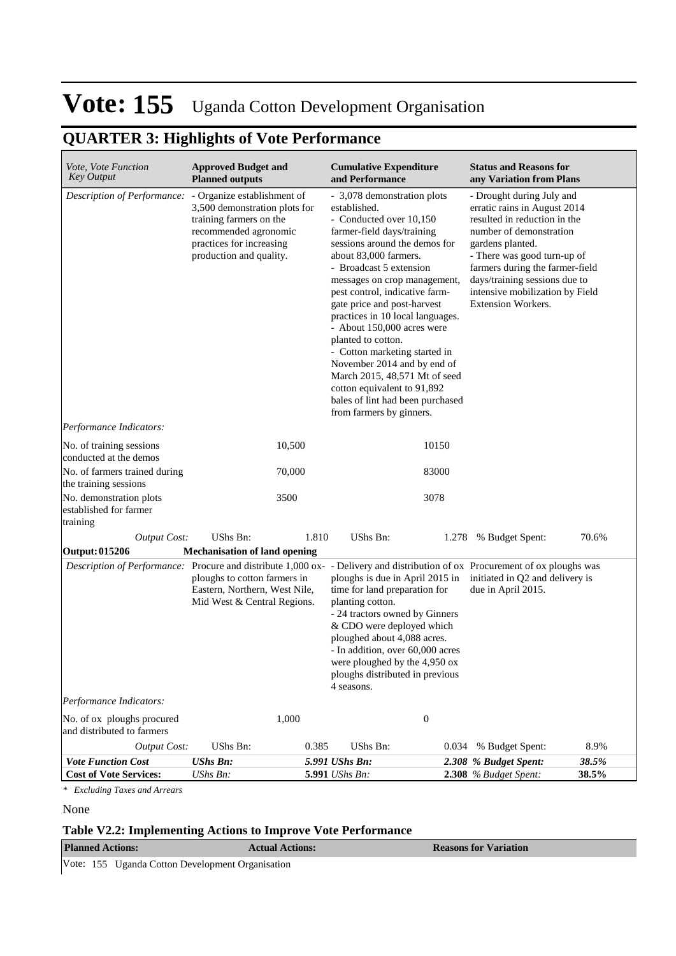## **QUARTER 3: Highlights of Vote Performance**

| Vote, Vote Function<br>Key Output                                                                                            | <b>Approved Budget and</b><br><b>Planned outputs</b>                                                                                                                    |       | <b>Cumulative Expenditure</b><br>and Performance                                                                                                                                                                                                                                                                                                                                                                                                                                                                                                                                   |       | <b>Status and Reasons for</b><br>any Variation from Plans                                                                                                                                                                                                                                                   |       |
|------------------------------------------------------------------------------------------------------------------------------|-------------------------------------------------------------------------------------------------------------------------------------------------------------------------|-------|------------------------------------------------------------------------------------------------------------------------------------------------------------------------------------------------------------------------------------------------------------------------------------------------------------------------------------------------------------------------------------------------------------------------------------------------------------------------------------------------------------------------------------------------------------------------------------|-------|-------------------------------------------------------------------------------------------------------------------------------------------------------------------------------------------------------------------------------------------------------------------------------------------------------------|-------|
| Description of Performance:                                                                                                  | - Organize establishment of<br>3,500 demonstration plots for<br>training farmers on the<br>recommended agronomic<br>practices for increasing<br>production and quality. |       | - 3,078 demonstration plots<br>established.<br>- Conducted over 10,150<br>farmer-field days/training<br>sessions around the demos for<br>about 83,000 farmers.<br>- Broadcast 5 extension<br>messages on crop management,<br>pest control, indicative farm-<br>gate price and post-harvest<br>practices in 10 local languages.<br>- About 150,000 acres were<br>planted to cotton.<br>- Cotton marketing started in<br>November 2014 and by end of<br>March 2015, 48,571 Mt of seed<br>cotton equivalent to 91,892<br>bales of lint had been purchased<br>from farmers by ginners. |       | - Drought during July and<br>erratic rains in August 2014<br>resulted in reduction in the<br>number of demonstration<br>gardens planted.<br>- There was good turn-up of<br>farmers during the farmer-field<br>days/training sessions due to<br>intensive mobilization by Field<br><b>Extension Workers.</b> |       |
| Performance Indicators:<br>No. of training sessions                                                                          | 10,500                                                                                                                                                                  |       |                                                                                                                                                                                                                                                                                                                                                                                                                                                                                                                                                                                    | 10150 |                                                                                                                                                                                                                                                                                                             |       |
| conducted at the demos                                                                                                       |                                                                                                                                                                         |       |                                                                                                                                                                                                                                                                                                                                                                                                                                                                                                                                                                                    |       |                                                                                                                                                                                                                                                                                                             |       |
| No. of farmers trained during<br>the training sessions                                                                       | 70,000                                                                                                                                                                  |       |                                                                                                                                                                                                                                                                                                                                                                                                                                                                                                                                                                                    | 83000 |                                                                                                                                                                                                                                                                                                             |       |
| No. demonstration plots<br>established for farmer<br>training                                                                | 3500                                                                                                                                                                    |       | 3078                                                                                                                                                                                                                                                                                                                                                                                                                                                                                                                                                                               |       |                                                                                                                                                                                                                                                                                                             |       |
| <b>Output Cost:</b>                                                                                                          | <b>UShs Bn:</b>                                                                                                                                                         | 1.810 | UShs Bn:                                                                                                                                                                                                                                                                                                                                                                                                                                                                                                                                                                           | 1.278 | % Budget Spent:                                                                                                                                                                                                                                                                                             | 70.6% |
| <b>Output: 015206</b>                                                                                                        | <b>Mechanisation of land opening</b>                                                                                                                                    |       |                                                                                                                                                                                                                                                                                                                                                                                                                                                                                                                                                                                    |       |                                                                                                                                                                                                                                                                                                             |       |
| Description of Performance: Procure and distribute 1,000 ox- - Delivery and distribution of ox Procurement of ox ploughs was | ploughs to cotton farmers in<br>Eastern, Northern, West Nile,<br>Mid West & Central Regions.                                                                            |       | ploughs is due in April 2015 in<br>time for land preparation for<br>planting cotton.<br>- 24 tractors owned by Ginners<br>& CDO were deployed which<br>ploughed about 4,088 acres.<br>- In addition, over 60,000 acres<br>were ploughed by the 4,950 ox<br>ploughs distributed in previous<br>4 seasons.                                                                                                                                                                                                                                                                           |       | initiated in Q2 and delivery is<br>due in April 2015.                                                                                                                                                                                                                                                       |       |
| Performance Indicators:                                                                                                      |                                                                                                                                                                         |       |                                                                                                                                                                                                                                                                                                                                                                                                                                                                                                                                                                                    |       |                                                                                                                                                                                                                                                                                                             |       |
| No. of ox ploughs procured<br>and distributed to farmers                                                                     | 1,000                                                                                                                                                                   |       | $\boldsymbol{0}$                                                                                                                                                                                                                                                                                                                                                                                                                                                                                                                                                                   |       |                                                                                                                                                                                                                                                                                                             |       |
| <b>Output Cost:</b>                                                                                                          | UShs Bn:                                                                                                                                                                | 0.385 | UShs Bn:                                                                                                                                                                                                                                                                                                                                                                                                                                                                                                                                                                           | 0.034 | % Budget Spent:                                                                                                                                                                                                                                                                                             | 8.9%  |
| <b>Vote Function Cost</b>                                                                                                    | <b>UShs Bn:</b>                                                                                                                                                         |       | 5.991 UShs Bn:                                                                                                                                                                                                                                                                                                                                                                                                                                                                                                                                                                     |       | 2.308 % Budget Spent:                                                                                                                                                                                                                                                                                       | 38.5% |
| <b>Cost of Vote Services:</b>                                                                                                | UShs Bn:                                                                                                                                                                |       | 5.991 UShs Bn:                                                                                                                                                                                                                                                                                                                                                                                                                                                                                                                                                                     |       | 2.308 % Budget Spent:                                                                                                                                                                                                                                                                                       | 38.5% |

*\* Excluding Taxes and Arrears*

None

### **Table V2.2: Implementing Actions to Improve Vote Performance**

| <b>Planned Actions:</b>                          | <b>Actual Actions:</b> | <b>Reasons for Variation</b> |
|--------------------------------------------------|------------------------|------------------------------|
| Vote: 155 Uganda Cotton Development Organisation |                        |                              |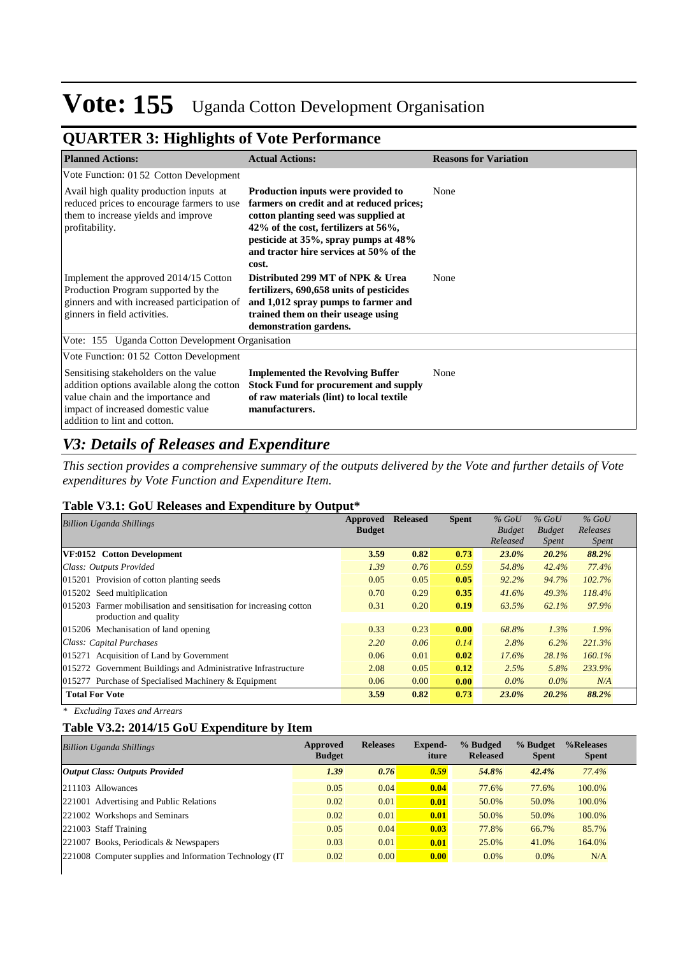## **QUARTER 3: Highlights of Vote Performance**

| <b>Planned Actions:</b>                                                                                                                                                                          | <b>Actual Actions:</b>                                                                                                                                                                                                                                     | <b>Reasons for Variation</b> |
|--------------------------------------------------------------------------------------------------------------------------------------------------------------------------------------------------|------------------------------------------------------------------------------------------------------------------------------------------------------------------------------------------------------------------------------------------------------------|------------------------------|
| Vote Function: 01 52 Cotton Development                                                                                                                                                          |                                                                                                                                                                                                                                                            |                              |
| Avail high quality production inputs at<br>reduced prices to encourage farmers to use<br>them to increase yields and improve<br>profitability.                                                   | Production inputs were provided to<br>farmers on credit and at reduced prices;<br>cotton planting seed was supplied at<br>42% of the cost, fertilizers at 56%,<br>pesticide at 35%, spray pumps at 48%<br>and tractor hire services at 50% of the<br>cost. | None                         |
| Implement the approved 2014/15 Cotton<br>Production Program supported by the<br>ginners and with increased participation of<br>ginners in field activities.                                      | Distributed 299 MT of NPK & Urea<br>fertilizers, 690,658 units of pesticides<br>and 1,012 spray pumps to farmer and<br>trained them on their useage using<br>demonstration gardens.                                                                        | None                         |
| Vote: 155 Uganda Cotton Development Organisation                                                                                                                                                 |                                                                                                                                                                                                                                                            |                              |
| Vote Function: 01 52 Cotton Development                                                                                                                                                          |                                                                                                                                                                                                                                                            |                              |
| Sensitising stakeholders on the value<br>addition options available along the cotton<br>value chain and the importance and<br>impact of increased domestic value<br>addition to lint and cotton. | <b>Implemented the Revolving Buffer</b><br><b>Stock Fund for procurement and supply</b><br>of raw materials (lint) to local textile<br>manufacturers.                                                                                                      | None                         |

## *V3: Details of Releases and Expenditure*

*This section provides a comprehensive summary of the outputs delivered by the Vote and further details of Vote expenditures by Vote Function and Expenditure Item.*

#### **Table V3.1: GoU Releases and Expenditure by Output\***

| <b>Billion Uganda Shillings</b>                                                              | Approved<br><b>Budget</b> | <b>Released</b> | <b>Spent</b> | $%$ GoU<br><b>Budget</b><br>Released | $%$ GoU<br><b>Budget</b><br><i>Spent</i> | $%$ GoU<br>Releases<br><i>Spent</i> |
|----------------------------------------------------------------------------------------------|---------------------------|-----------------|--------------|--------------------------------------|------------------------------------------|-------------------------------------|
| VF:0152 Cotton Development                                                                   | 3.59                      | 0.82            | 0.73         | 23.0%                                | 20.2%                                    | 88.2%                               |
| Class: Outputs Provided                                                                      | 1.39                      | 0.76            | 0.59         | 54.8%                                | 42.4%                                    | 77.4%                               |
| 015201 Provision of cotton planting seeds                                                    | 0.05                      | 0.05            | 0.05         | 92.2%                                | 94.7%                                    | 102.7%                              |
| $ 015202$ Seed multiplication                                                                | 0.70                      | 0.29            | 0.35         | 41.6%                                | 49.3%                                    | 118.4%                              |
| 015203 Farmer mobilisation and sensitisation for increasing cotton<br>production and quality | 0.31                      | 0.20            | 0.19         | 63.5%                                | 62.1%                                    | 97.9%                               |
| 015206 Mechanisation of land opening                                                         | 0.33                      | 0.23            | 0.00         | 68.8%                                | $1.3\%$                                  | 1.9%                                |
| Class: Capital Purchases                                                                     | 2.20                      | 0.06            | 0.14         | 2.8%                                 | 6.2%                                     | 221.3%                              |
| 015271 Acquisition of Land by Government                                                     | 0.06                      | 0.01            | 0.02         | 17.6%                                | 28.1%                                    | 160.1%                              |
| 015272 Government Buildings and Administrative Infrastructure                                | 2.08                      | 0.05            | 0.12         | 2.5%                                 | 5.8%                                     | 233.9%                              |
| 015277 Purchase of Specialised Machinery & Equipment                                         | 0.06                      | 0.00            | 0.00         | $0.0\%$                              | $0.0\%$                                  | N/A                                 |
| <b>Total For Vote</b>                                                                        | 3.59                      | 0.82            | 0.73         | 23.0%                                | 20.2%                                    | 88.2%                               |

*\* Excluding Taxes and Arrears*

### **Table V3.2: 2014/15 GoU Expenditure by Item**

| <b>Billion Uganda Shillings</b>                          | Approved<br><b>Budget</b> | <b>Releases</b> | Expend-<br>iture | % Budged<br><b>Released</b> | % Budget<br><b>Spent</b> | %Releases<br><b>Spent</b> |
|----------------------------------------------------------|---------------------------|-----------------|------------------|-----------------------------|--------------------------|---------------------------|
| <b>Output Class: Outputs Provided</b>                    | 1.39                      | 0.76            | 0.59             | 54.8%                       | 42.4%                    | 77.4%                     |
| 211103 Allowances                                        | 0.05                      | 0.04            | 0.04             | 77.6%                       | 77.6%                    | 100.0%                    |
| 221001 Advertising and Public Relations                  | 0.02                      | 0.01            | 0.01             | 50.0%                       | 50.0%                    | 100.0%                    |
| 221002 Workshops and Seminars                            | 0.02                      | 0.01            | 0.01             | 50.0%                       | 50.0%                    | 100.0%                    |
| 221003 Staff Training                                    | 0.05                      | 0.04            | 0.03             | 77.8%                       | 66.7%                    | 85.7%                     |
| 221007 Books, Periodicals & Newspapers                   | 0.03                      | 0.01            | 0.01             | 25.0%                       | 41.0%                    | 164.0%                    |
| 221008 Computer supplies and Information Technology (IT) | 0.02                      | 0.00            | 0.00             | $0.0\%$                     | $0.0\%$                  | N/A                       |
|                                                          |                           |                 |                  |                             |                          |                           |